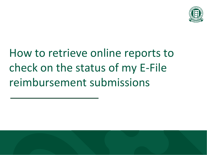

# How to retrieve online reports to check on the status of my E-File reimbursement submissions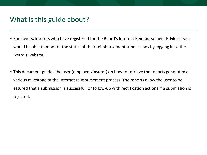## What is this guide about?

- Employers/Insurers who have registered for the Board's Internet Reimbursement E-File service would be able to monitor the status of their reimbursement submissions by logging in to the Board's website.
- This document guides the user (employer/insurer) on how to retrieve the reports generated at various milestone of the internet reimbursement process. The reports allow the user to be assured that a submission is successful, or follow-up with rectification actions if a submission is rejected.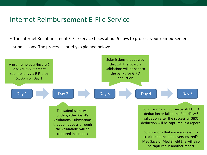## Internet Reimbursement E-File Service

• The Internet Reimbursement E-File service takes about 5 days to process your reimbursement submissions. The process is briefly explained below:

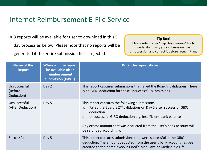## Internet Reimbursement E-File Service

• 3 reports will be available for user to download in this 5 day process as below. Please note that no reports will be generated if the entire submission file is rejected

#### **Tip Box!**

Please refer to our "Rejection Reason" file to understand why your submission was unsuccessful, and correct it before resubmitting.

| Name of the<br><b>Report</b>           | When will the report<br>be available after<br>reimbursement<br>submission (Day 1) | What the report shows                                                                                                                                                                                                                                                                                                        |
|----------------------------------------|-----------------------------------------------------------------------------------|------------------------------------------------------------------------------------------------------------------------------------------------------------------------------------------------------------------------------------------------------------------------------------------------------------------------------|
| Unsuccessful<br>(Before)<br>Deduction) | Day 2                                                                             | This report captures submissions that failed the Board's validations. There<br>is no GIRO deduction for these unsuccessful submissions.                                                                                                                                                                                      |
| Unsuccessful<br>(After Deduction)      | Day 5                                                                             | This report captures the following submissions:<br>Failed the Board's 2 <sup>nd</sup> validations on Day 5 after successful GIRO<br>a.<br>deduction<br>Unsuccessful GIRO deduction e.g. Insufficient bank balance<br>b.<br>Any excess amount that was deducted from the user's bank account will<br>be refunded accordingly. |
| Successful                             | Day 5                                                                             | This report captures submissions that were successful in the GIRO<br>deduction. The amount deducted from the user's bank account has been<br>credited to their employee/insured's MediSave or MediShield Life                                                                                                                |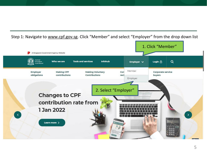

Step 1: Navigate to [www.cpf.gov.sg](http://www.cpf.gov.sg/). Click "Member" and select "Employer" from the drop down list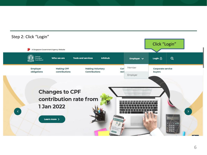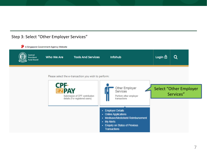#### Step 3: Select "Other Employer Services"

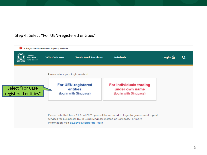#### Step 4: Select "For UEN-registered entities"



services for businesses (G2B) using Singpass instead of Corppass. For more information, visit go.gov.sg/corporate-login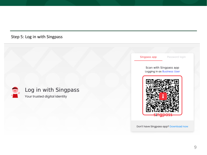#### Step 5: Log in with Singpass



Don't have Singpass app? Download now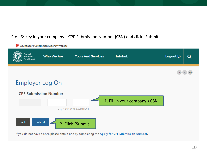#### Step 6: Key in your company's CPF Submission Number (CSN) and click "Submit"





If you do not have a CSN, please obtain one by completing the Apply for CPF Submission Number.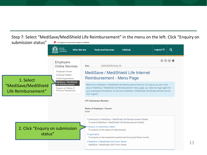Step 7: Select "MediSave/MediShield Life Reimbursement" in the menu on the left. Click "Enquiry on

11

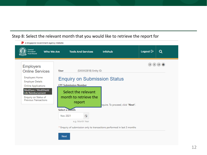### Step 8: Select the relevant month that you would like to retrieve the report for

| A Singapore Government Agency Website                                                                                                                                                 |                                                                                                                                                 |                                                                         |                  |   |
|---------------------------------------------------------------------------------------------------------------------------------------------------------------------------------------|-------------------------------------------------------------------------------------------------------------------------------------------------|-------------------------------------------------------------------------|------------------|---|
| Central<br><b>Who We Are</b><br>Provident<br><b>Fund Board</b>                                                                                                                        | <b>Tools And Services</b>                                                                                                                       | <b>Infohub</b>                                                          | Logout $\ominus$ | Q |
| <b>Employers</b><br><b>Online Services</b>                                                                                                                                            | (SXXXX281B) Entity ID:<br>User                                                                                                                  |                                                                         |                  |   |
| <b>Employers Home</b><br><b>Employer Details</b><br><b>Online Applications</b><br>MediSave / MediShield<br>Life Reimbursement<br>Enquiry on Status of<br><b>Previous Transactions</b> | <b>Enquiry on Submission Status</b><br><b>CPF Submission Number</b><br>Select the relevant<br>month to retrieve the<br>report<br>Select a month | nquire. To proceed, click "Next".                                       |                  |   |
|                                                                                                                                                                                       | ä<br>Nov 2021<br>e.g. Month Year                                                                                                                | * Enquiry of submission only to transactions performed in last 3 months |                  |   |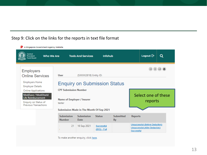#### Step 9: Click on the links for the reports in text file format

A Singapore Government Agency Website

| Central<br><b>Who We Are</b><br><b>Provident</b><br><b>Fund Board</b>                               |                                                                      | <b>Tools And Services</b>                                     | <b>Infohub</b> |                        | Logout $\ominus$               | Q |  |  |
|-----------------------------------------------------------------------------------------------------|----------------------------------------------------------------------|---------------------------------------------------------------|----------------|------------------------|--------------------------------|---|--|--|
| <b>Employers</b><br><b>Online Services</b><br><b>Employers Home</b><br><b>Employer Details</b>      | <b>User</b>                                                          | (SXXXX281B) Entity ID:<br><b>Enquiry on Submission Status</b> |                |                        |                                |   |  |  |
| <b>Online Applications</b>                                                                          | <b>CPF Submission Number</b><br>Name of Employer / Insurer<br>tester |                                                               |                |                        | Select one of these<br>reports |   |  |  |
| MediSave / MediShield<br>Life Reimbursement<br>Enquiry on Status of<br><b>Previous Transactions</b> |                                                                      |                                                               |                |                        |                                |   |  |  |
|                                                                                                     | Submission Made in The Month Of Sep 2021                             |                                                               |                |                        |                                |   |  |  |
|                                                                                                     | <b>Submission</b><br><b>Number</b>                                   | Submission<br>Date                                            | <b>Status</b>  | <b>Submitted</b><br>By | <b>Reports</b>                 |   |  |  |

To make another enquiry, click here.